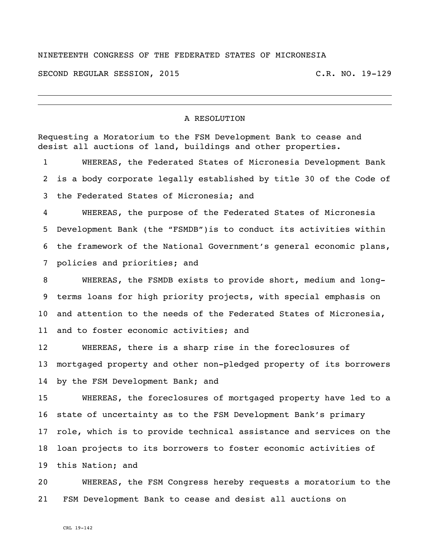## NINETEENTH CONGRESS OF THE FEDERATED STATES OF MICRONESIA

SECOND REGULAR SESSION, 2015 C.R. NO. 19-129

## A RESOLUTION

Requesting a Moratorium to the FSM Development Bank to cease and desist all auctions of land, buildings and other properties. WHEREAS, the Federated States of Micronesia Development Bank is a body corporate legally established by title 30 of the Code of the Federated States of Micronesia; and WHEREAS, the purpose of the Federated States of Micronesia Development Bank (the "FSMDB")is to conduct its activities within the framework of the National Government's general economic plans, policies and priorities; and WHEREAS, the FSMDB exists to provide short, medium and long- terms loans for high priority projects, with special emphasis on and attention to the needs of the Federated States of Micronesia, 11 and to foster economic activities; and WHEREAS, there is a sharp rise in the foreclosures of mortgaged property and other non-pledged property of its borrowers 14 by the FSM Development Bank; and WHEREAS, the foreclosures of mortgaged property have led to a state of uncertainty as to the FSM Development Bank's primary role, which is to provide technical assistance and services on the loan projects to its borrowers to foster economic activities of this Nation; and

 WHEREAS, the FSM Congress hereby requests a moratorium to the FSM Development Bank to cease and desist all auctions on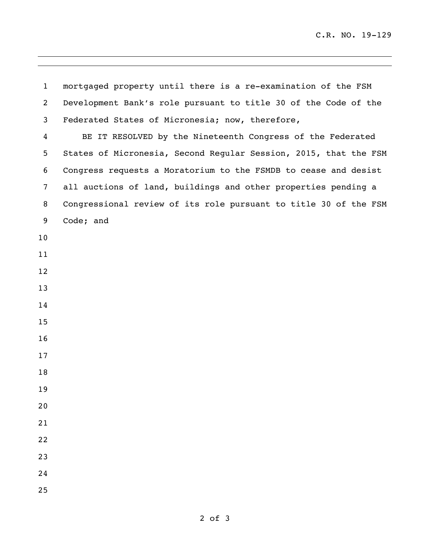mortgaged property until there is a re-examination of the FSM Development Bank's role pursuant to title 30 of the Code of the Federated States of Micronesia; now, therefore, BE IT RESOLVED by the Nineteenth Congress of the Federated States of Micronesia, Second Regular Session, 2015, that the FSM Congress requests a Moratorium to the FSMDB to cease and desist all auctions of land, buildings and other properties pending a Congressional review of its role pursuant to title 30 of the FSM Code; and